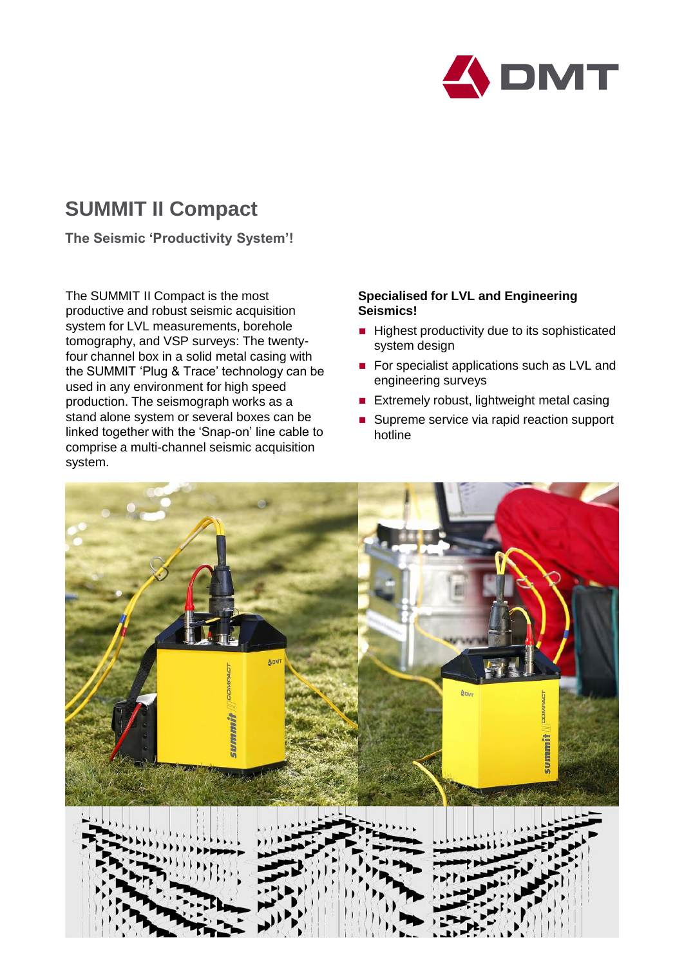

# **SUMMIT II Compact**

**The Seismic 'Productivity System'!**

The SUMMIT II Compact is the most productive and robust seismic acquisition system for LVL measurements, borehole tomography, and VSP surveys: The twentyfour channel box in a solid metal casing with the SUMMIT 'Plug & Trace' technology can be used in any environment for high speed production. The seismograph works as a stand alone system or several boxes can be linked together with the 'Snap-on' line cable to comprise a multi-channel seismic acquisition system.

## **Specialised for LVL and Engineering Seismics!**

- $\blacksquare$  Highest productivity due to its sophisticated system design
- For specialist applications such as LVL and engineering surveys
- **Extremely robust, lightweight metal casing**
- Supreme service via rapid reaction support hotline